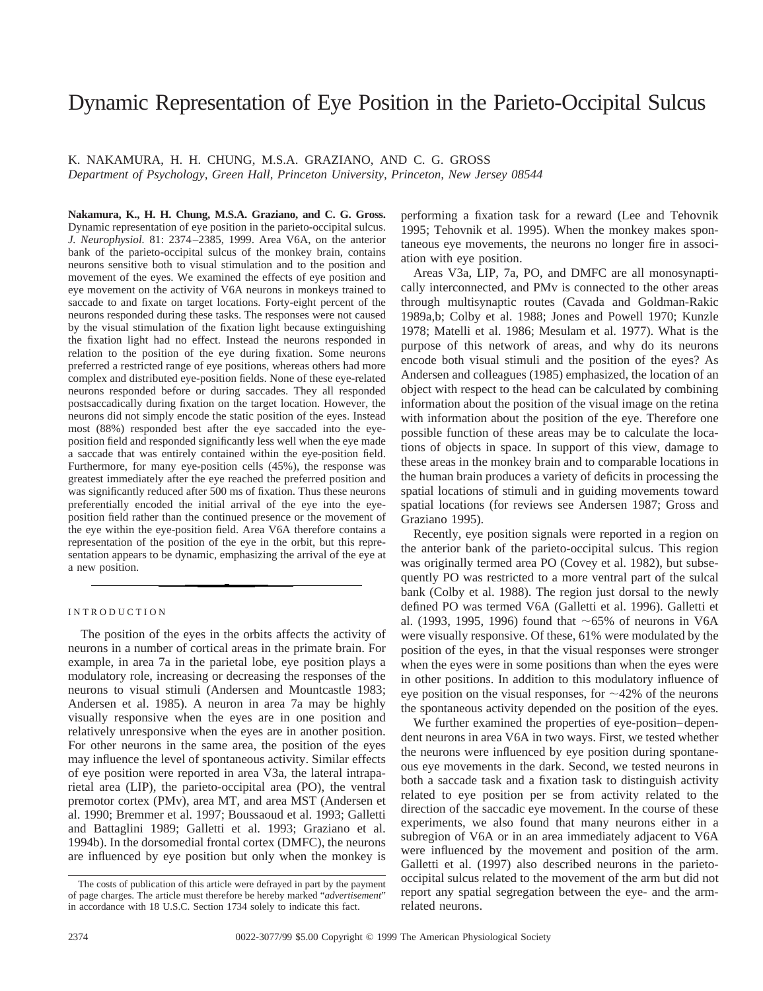# Dynamic Representation of Eye Position in the Parieto-Occipital Sulcus

K. NAKAMURA, H. H. CHUNG, M.S.A. GRAZIANO, AND C. G. GROSS *Department of Psychology, Green Hall, Princeton University, Princeton, New Jersey 08544*

**Nakamura, K., H. H. Chung, M.S.A. Graziano, and C. G. Gross.** Dynamic representation of eye position in the parieto-occipital sulcus. *J. Neurophysiol.* 81: 2374–2385, 1999. Area V6A, on the anterior bank of the parieto-occipital sulcus of the monkey brain, contains neurons sensitive both to visual stimulation and to the position and movement of the eyes. We examined the effects of eye position and eye movement on the activity of V6A neurons in monkeys trained to saccade to and fixate on target locations. Forty-eight percent of the neurons responded during these tasks. The responses were not caused by the visual stimulation of the fixation light because extinguishing the fixation light had no effect. Instead the neurons responded in relation to the position of the eye during fixation. Some neurons preferred a restricted range of eye positions, whereas others had more complex and distributed eye-position fields. None of these eye-related neurons responded before or during saccades. They all responded postsaccadically during fixation on the target location. However, the neurons did not simply encode the static position of the eyes. Instead most (88%) responded best after the eye saccaded into the eyeposition field and responded significantly less well when the eye made a saccade that was entirely contained within the eye-position field. Furthermore, for many eye-position cells (45%), the response was greatest immediately after the eye reached the preferred position and was significantly reduced after 500 ms of fixation. Thus these neurons preferentially encoded the initial arrival of the eye into the eyeposition field rather than the continued presence or the movement of the eye within the eye-position field. Area V6A therefore contains a representation of the position of the eye in the orbit, but this representation appears to be dynamic, emphasizing the arrival of the eye at a new position.

## INTRODUCTION

The position of the eyes in the orbits affects the activity of neurons in a number of cortical areas in the primate brain. For example, in area 7a in the parietal lobe, eye position plays a modulatory role, increasing or decreasing the responses of the neurons to visual stimuli (Andersen and Mountcastle 1983; Andersen et al. 1985). A neuron in area 7a may be highly visually responsive when the eyes are in one position and relatively unresponsive when the eyes are in another position. For other neurons in the same area, the position of the eyes may influence the level of spontaneous activity. Similar effects of eye position were reported in area V3a, the lateral intraparietal area (LIP), the parieto-occipital area (PO), the ventral premotor cortex (PMv), area MT, and area MST (Andersen et al. 1990; Bremmer et al. 1997; Boussaoud et al. 1993; Galletti and Battaglini 1989; Galletti et al. 1993; Graziano et al. 1994b). In the dorsomedial frontal cortex (DMFC), the neurons are influenced by eye position but only when the monkey is performing a fixation task for a reward (Lee and Tehovnik 1995; Tehovnik et al. 1995). When the monkey makes spontaneous eye movements, the neurons no longer fire in association with eye position.

Areas V3a, LIP, 7a, PO, and DMFC are all monosynaptically interconnected, and PMv is connected to the other areas through multisynaptic routes (Cavada and Goldman-Rakic 1989a,b; Colby et al. 1988; Jones and Powell 1970; Kunzle 1978; Matelli et al. 1986; Mesulam et al. 1977). What is the purpose of this network of areas, and why do its neurons encode both visual stimuli and the position of the eyes? As Andersen and colleagues (1985) emphasized, the location of an object with respect to the head can be calculated by combining information about the position of the visual image on the retina with information about the position of the eye. Therefore one possible function of these areas may be to calculate the locations of objects in space. In support of this view, damage to these areas in the monkey brain and to comparable locations in the human brain produces a variety of deficits in processing the spatial locations of stimuli and in guiding movements toward spatial locations (for reviews see Andersen 1987; Gross and Graziano 1995).

Recently, eye position signals were reported in a region on the anterior bank of the parieto-occipital sulcus. This region was originally termed area PO (Covey et al. 1982), but subsequently PO was restricted to a more ventral part of the sulcal bank (Colby et al. 1988). The region just dorsal to the newly defined PO was termed V6A (Galletti et al. 1996). Galletti et al. (1993, 1995, 1996) found that  $\sim 65\%$  of neurons in V6A were visually responsive. Of these, 61% were modulated by the position of the eyes, in that the visual responses were stronger when the eyes were in some positions than when the eyes were in other positions. In addition to this modulatory influence of eye position on the visual responses, for  $\sim$ 42% of the neurons the spontaneous activity depended on the position of the eyes.

We further examined the properties of eye-position–dependent neurons in area V6A in two ways. First, we tested whether the neurons were influenced by eye position during spontaneous eye movements in the dark. Second, we tested neurons in both a saccade task and a fixation task to distinguish activity related to eye position per se from activity related to the direction of the saccadic eye movement. In the course of these experiments, we also found that many neurons either in a subregion of V6A or in an area immediately adjacent to V6A were influenced by the movement and position of the arm. Galletti et al. (1997) also described neurons in the parietooccipital sulcus related to the movement of the arm but did not report any spatial segregation between the eye- and the armrelated neurons.

The costs of publication of this article were defrayed in part by the payment of page charges. The article must therefore be hereby marked "*advertisement*" in accordance with 18 U.S.C. Section 1734 solely to indicate this fact.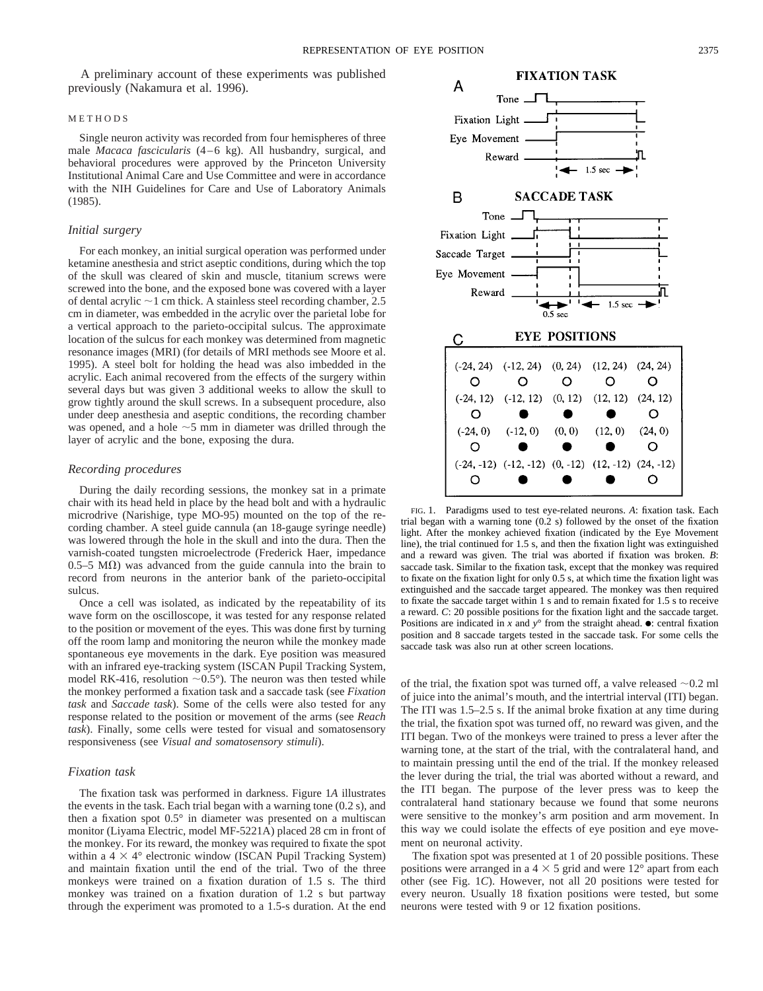A preliminary account of these experiments was published previously (Nakamura et al. 1996).

#### METHODS

Single neuron activity was recorded from four hemispheres of three male *Macaca fascicularis* (4–6 kg). All husbandry, surgical, and behavioral procedures were approved by the Princeton University Institutional Animal Care and Use Committee and were in accordance with the NIH Guidelines for Care and Use of Laboratory Animals (1985).

# *Initial surgery*

For each monkey, an initial surgical operation was performed under ketamine anesthesia and strict aseptic conditions, during which the top of the skull was cleared of skin and muscle, titanium screws were screwed into the bone, and the exposed bone was covered with a layer of dental acrylic  $\sim$ 1 cm thick. A stainless steel recording chamber, 2.5 cm in diameter, was embedded in the acrylic over the parietal lobe for a vertical approach to the parieto-occipital sulcus. The approximate location of the sulcus for each monkey was determined from magnetic resonance images (MRI) (for details of MRI methods see Moore et al. 1995). A steel bolt for holding the head was also imbedded in the acrylic. Each animal recovered from the effects of the surgery within several days but was given 3 additional weeks to allow the skull to grow tightly around the skull screws. In a subsequent procedure, also under deep anesthesia and aseptic conditions, the recording chamber was opened, and a hole  $\sim$  5 mm in diameter was drilled through the layer of acrylic and the bone, exposing the dura.

### *Recording procedures*

During the daily recording sessions, the monkey sat in a primate chair with its head held in place by the head bolt and with a hydraulic microdrive (Narishige, type MO-95) mounted on the top of the recording chamber. A steel guide cannula (an 18-gauge syringe needle) was lowered through the hole in the skull and into the dura. Then the varnish-coated tungsten microelectrode (Frederick Haer, impedance 0.5–5 M $\Omega$ ) was advanced from the guide cannula into the brain to record from neurons in the anterior bank of the parieto-occipital sulcus.

Once a cell was isolated, as indicated by the repeatability of its wave form on the oscilloscope, it was tested for any response related to the position or movement of the eyes. This was done first by turning off the room lamp and monitoring the neuron while the monkey made spontaneous eye movements in the dark. Eye position was measured with an infrared eye-tracking system (ISCAN Pupil Tracking System, model RK-416, resolution  $\sim 0.5^{\circ}$ ). The neuron was then tested while the monkey performed a fixation task and a saccade task (see *Fixation task* and *Saccade task*). Some of the cells were also tested for any response related to the position or movement of the arms (see *Reach task*). Finally, some cells were tested for visual and somatosensory responsiveness (see *Visual and somatosensory stimuli*).

#### *Fixation task*

The fixation task was performed in darkness. Figure 1*A* illustrates the events in the task. Each trial began with a warning tone (0.2 s), and then a fixation spot 0.5° in diameter was presented on a multiscan monitor (Liyama Electric, model MF-5221A) placed 28 cm in front of the monkey. For its reward, the monkey was required to fixate the spot within a  $4 \times 4^{\circ}$  electronic window (ISCAN Pupil Tracking System) and maintain fixation until the end of the trial. Two of the three monkeys were trained on a fixation duration of 1.5 s. The third monkey was trained on a fixation duration of 1.2 s but partway through the experiment was promoted to a 1.5-s duration. At the end



FIG. 1. Paradigms used to test eye-related neurons. *A*: fixation task. Each trial began with a warning tone (0.2 s) followed by the onset of the fixation light. After the monkey achieved fixation (indicated by the Eye Movement line), the trial continued for 1.5 s, and then the fixation light was extinguished and a reward was given. The trial was aborted if fixation was broken. *B*: saccade task. Similar to the fixation task, except that the monkey was required to fixate on the fixation light for only 0.5 s, at which time the fixation light was extinguished and the saccade target appeared. The monkey was then required to fixate the saccade target within 1 s and to remain fixated for 1.5 s to receive a reward. *C*: 20 possible positions for the fixation light and the saccade target. Positions are indicated in *x* and  $y^{\circ}$  from the straight ahead.  $\bullet$ : central fixation position and 8 saccade targets tested in the saccade task. For some cells the saccade task was also run at other screen locations.

 $(0, -12)$ 

 $(12, -12)$ 

 $(-12,-12)$ 

O

 $(24, -12)$ 

O

O

 $(-24, -12)$ 

O

of the trial, the fixation spot was turned off, a valve released  $\sim 0.2$  ml of juice into the animal's mouth, and the intertrial interval (ITI) began. The ITI was 1.5–2.5 s. If the animal broke fixation at any time during the trial, the fixation spot was turned off, no reward was given, and the ITI began. Two of the monkeys were trained to press a lever after the warning tone, at the start of the trial, with the contralateral hand, and to maintain pressing until the end of the trial. If the monkey released the lever during the trial, the trial was aborted without a reward, and the ITI began. The purpose of the lever press was to keep the contralateral hand stationary because we found that some neurons were sensitive to the monkey's arm position and arm movement. In this way we could isolate the effects of eye position and eye movement on neuronal activity.

The fixation spot was presented at 1 of 20 possible positions. These positions were arranged in a  $4 \times 5$  grid and were 12° apart from each other (see Fig. 1*C*). However, not all 20 positions were tested for every neuron. Usually 18 fixation positions were tested, but some neurons were tested with 9 or 12 fixation positions.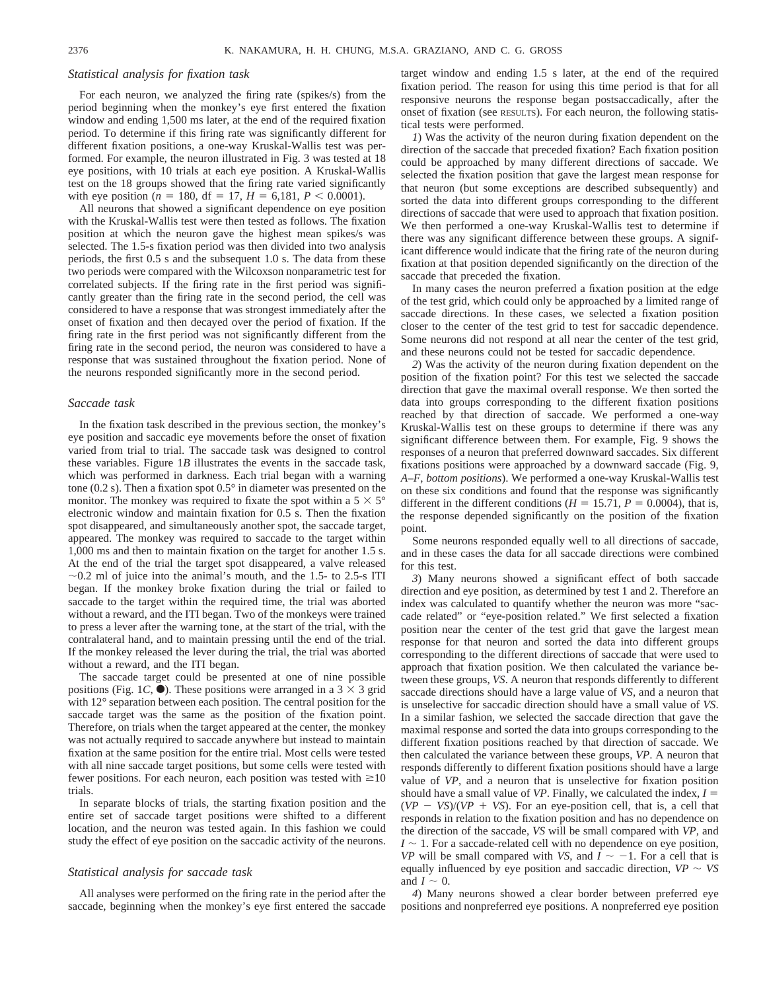#### *Statistical analysis for fixation task*

For each neuron, we analyzed the firing rate (spikes/s) from the period beginning when the monkey's eye first entered the fixation window and ending 1,500 ms later, at the end of the required fixation period. To determine if this firing rate was significantly different for different fixation positions, a one-way Kruskal-Wallis test was performed. For example, the neuron illustrated in Fig. 3 was tested at 18 eye positions, with 10 trials at each eye position. A Kruskal-Wallis test on the 18 groups showed that the firing rate varied significantly with eye position ( $n = 180$ , df = 17,  $H = 6,181$ ,  $P < 0.0001$ ).

All neurons that showed a significant dependence on eye position with the Kruskal-Wallis test were then tested as follows. The fixation position at which the neuron gave the highest mean spikes/s was selected. The 1.5-s fixation period was then divided into two analysis periods, the first 0.5 s and the subsequent 1.0 s. The data from these two periods were compared with the Wilcoxson nonparametric test for correlated subjects. If the firing rate in the first period was significantly greater than the firing rate in the second period, the cell was considered to have a response that was strongest immediately after the onset of fixation and then decayed over the period of fixation. If the firing rate in the first period was not significantly different from the firing rate in the second period, the neuron was considered to have a response that was sustained throughout the fixation period. None of the neurons responded significantly more in the second period.

# *Saccade task*

In the fixation task described in the previous section, the monkey's eye position and saccadic eye movements before the onset of fixation varied from trial to trial. The saccade task was designed to control these variables. Figure 1*B* illustrates the events in the saccade task, which was performed in darkness. Each trial began with a warning tone (0.2 s). Then a fixation spot 0.5° in diameter was presented on the monitor. The monkey was required to fixate the spot within a  $5 \times 5^{\circ}$ electronic window and maintain fixation for 0.5 s. Then the fixation spot disappeared, and simultaneously another spot, the saccade target, appeared. The monkey was required to saccade to the target within 1,000 ms and then to maintain fixation on the target for another 1.5 s. At the end of the trial the target spot disappeared, a valve released  $\sim$ 0.2 ml of juice into the animal's mouth, and the 1.5- to 2.5-s ITI began. If the monkey broke fixation during the trial or failed to saccade to the target within the required time, the trial was aborted without a reward, and the ITI began. Two of the monkeys were trained to press a lever after the warning tone, at the start of the trial, with the contralateral hand, and to maintain pressing until the end of the trial. If the monkey released the lever during the trial, the trial was aborted without a reward, and the ITI began.

The saccade target could be presented at one of nine possible positions (Fig. 1*C*,  $\bullet$ ). These positions were arranged in a 3  $\times$  3 grid with 12° separation between each position. The central position for the saccade target was the same as the position of the fixation point. Therefore, on trials when the target appeared at the center, the monkey was not actually required to saccade anywhere but instead to maintain fixation at the same position for the entire trial. Most cells were tested with all nine saccade target positions, but some cells were tested with fewer positions. For each neuron, each position was tested with  $\geq 10$ trials.

In separate blocks of trials, the starting fixation position and the entire set of saccade target positions were shifted to a different location, and the neuron was tested again. In this fashion we could study the effect of eye position on the saccadic activity of the neurons.

# *Statistical analysis for saccade task*

All analyses were performed on the firing rate in the period after the saccade, beginning when the monkey's eye first entered the saccade

target window and ending 1.5 s later, at the end of the required fixation period. The reason for using this time period is that for all responsive neurons the response began postsaccadically, after the onset of fixation (see RESULTS). For each neuron, the following statistical tests were performed.

*1*) Was the activity of the neuron during fixation dependent on the direction of the saccade that preceded fixation? Each fixation position could be approached by many different directions of saccade. We selected the fixation position that gave the largest mean response for that neuron (but some exceptions are described subsequently) and sorted the data into different groups corresponding to the different directions of saccade that were used to approach that fixation position. We then performed a one-way Kruskal-Wallis test to determine if there was any significant difference between these groups. A significant difference would indicate that the firing rate of the neuron during fixation at that position depended significantly on the direction of the saccade that preceded the fixation.

In many cases the neuron preferred a fixation position at the edge of the test grid, which could only be approached by a limited range of saccade directions. In these cases, we selected a fixation position closer to the center of the test grid to test for saccadic dependence. Some neurons did not respond at all near the center of the test grid, and these neurons could not be tested for saccadic dependence.

*2*) Was the activity of the neuron during fixation dependent on the position of the fixation point? For this test we selected the saccade direction that gave the maximal overall response. We then sorted the data into groups corresponding to the different fixation positions reached by that direction of saccade. We performed a one-way Kruskal-Wallis test on these groups to determine if there was any significant difference between them. For example, Fig. 9 shows the responses of a neuron that preferred downward saccades. Six different fixations positions were approached by a downward saccade (Fig. 9, *A*–*F*, *bottom positions*). We performed a one-way Kruskal-Wallis test on these six conditions and found that the response was significantly different in the different conditions ( $H = 15.71$ ,  $P = 0.0004$ ), that is, the response depended significantly on the position of the fixation point.

Some neurons responded equally well to all directions of saccade, and in these cases the data for all saccade directions were combined for this test.

*3*) Many neurons showed a significant effect of both saccade direction and eye position, as determined by test 1 and 2. Therefore an index was calculated to quantify whether the neuron was more "saccade related" or "eye-position related." We first selected a fixation position near the center of the test grid that gave the largest mean response for that neuron and sorted the data into different groups corresponding to the different directions of saccade that were used to approach that fixation position. We then calculated the variance between these groups, *VS*. A neuron that responds differently to different saccade directions should have a large value of *VS*, and a neuron that is unselective for saccadic direction should have a small value of *VS*. In a similar fashion, we selected the saccade direction that gave the maximal response and sorted the data into groups corresponding to the different fixation positions reached by that direction of saccade. We then calculated the variance between these groups, *VP*. A neuron that responds differently to different fixation positions should have a large value of *VP*, and a neuron that is unselective for fixation position should have a small value of *VP*. Finally, we calculated the index,  $I =$  $(VP - VS)/(VP + VS)$ . For an eye-position cell, that is, a cell that responds in relation to the fixation position and has no dependence on the direction of the saccade, *VS* will be small compared with *VP*, and  $I \sim 1$ . For a saccade-related cell with no dependence on eye position, *VP* will be small compared with *VS*, and  $I \sim -1$ . For a cell that is equally influenced by eye position and saccadic direction,  $VP \sim VS$ and  $I \sim 0$ .

*4*) Many neurons showed a clear border between preferred eye positions and nonpreferred eye positions. A nonpreferred eye position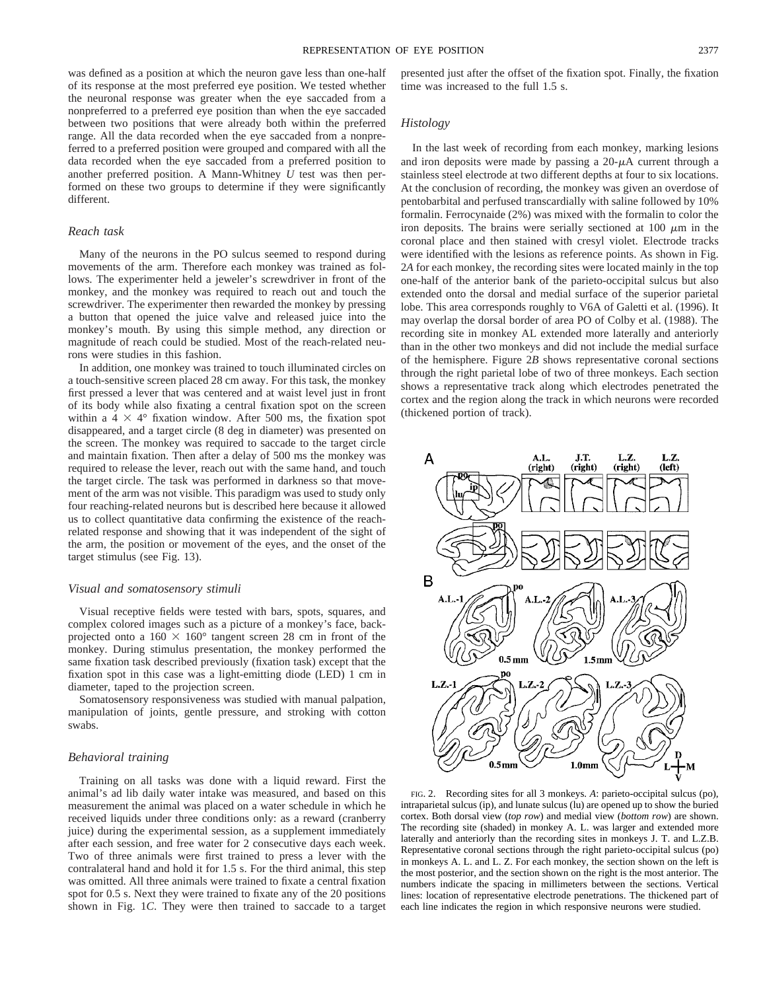was defined as a position at which the neuron gave less than one-half of its response at the most preferred eye position. We tested whether the neuronal response was greater when the eye saccaded from a nonpreferred to a preferred eye position than when the eye saccaded between two positions that were already both within the preferred range. All the data recorded when the eye saccaded from a nonpreferred to a preferred position were grouped and compared with all the data recorded when the eye saccaded from a preferred position to another preferred position. A Mann-Whitney *U* test was then performed on these two groups to determine if they were significantly different.

# *Reach task*

Many of the neurons in the PO sulcus seemed to respond during movements of the arm. Therefore each monkey was trained as follows. The experimenter held a jeweler's screwdriver in front of the monkey, and the monkey was required to reach out and touch the screwdriver. The experimenter then rewarded the monkey by pressing a button that opened the juice valve and released juice into the monkey's mouth. By using this simple method, any direction or magnitude of reach could be studied. Most of the reach-related neurons were studies in this fashion.

In addition, one monkey was trained to touch illuminated circles on a touch-sensitive screen placed 28 cm away. For this task, the monkey first pressed a lever that was centered and at waist level just in front of its body while also fixating a central fixation spot on the screen within a  $4 \times 4^{\circ}$  fixation window. After 500 ms, the fixation spot disappeared, and a target circle (8 deg in diameter) was presented on the screen. The monkey was required to saccade to the target circle and maintain fixation. Then after a delay of 500 ms the monkey was required to release the lever, reach out with the same hand, and touch the target circle. The task was performed in darkness so that movement of the arm was not visible. This paradigm was used to study only four reaching-related neurons but is described here because it allowed us to collect quantitative data confirming the existence of the reachrelated response and showing that it was independent of the sight of the arm, the position or movement of the eyes, and the onset of the target stimulus (see Fig. 13).

#### *Visual and somatosensory stimuli*

Visual receptive fields were tested with bars, spots, squares, and complex colored images such as a picture of a monkey's face, backprojected onto a  $160 \times 160^{\circ}$  tangent screen 28 cm in front of the monkey. During stimulus presentation, the monkey performed the same fixation task described previously (fixation task) except that the fixation spot in this case was a light-emitting diode (LED) 1 cm in diameter, taped to the projection screen.

Somatosensory responsiveness was studied with manual palpation, manipulation of joints, gentle pressure, and stroking with cotton swabs.

# *Behavioral training*

Training on all tasks was done with a liquid reward. First the animal's ad lib daily water intake was measured, and based on this measurement the animal was placed on a water schedule in which he received liquids under three conditions only: as a reward (cranberry juice) during the experimental session, as a supplement immediately after each session, and free water for 2 consecutive days each week. Two of three animals were first trained to press a lever with the contralateral hand and hold it for 1.5 s. For the third animal, this step was omitted. All three animals were trained to fixate a central fixation spot for 0.5 s. Next they were trained to fixate any of the 20 positions shown in Fig. 1*C*. They were then trained to saccade to a target presented just after the offset of the fixation spot. Finally, the fixation time was increased to the full 1.5 s.

## *Histology*

In the last week of recording from each monkey, marking lesions and iron deposits were made by passing a  $20-\mu A$  current through a stainless steel electrode at two different depths at four to six locations. At the conclusion of recording, the monkey was given an overdose of pentobarbital and perfused transcardially with saline followed by 10% formalin. Ferrocynaide (2%) was mixed with the formalin to color the iron deposits. The brains were serially sectioned at  $100 \mu m$  in the coronal place and then stained with cresyl violet. Electrode tracks were identified with the lesions as reference points. As shown in Fig. 2*A* for each monkey, the recording sites were located mainly in the top one-half of the anterior bank of the parieto-occipital sulcus but also extended onto the dorsal and medial surface of the superior parietal lobe. This area corresponds roughly to V6A of Galetti et al. (1996). It may overlap the dorsal border of area PO of Colby et al. (1988). The recording site in monkey AL extended more laterally and anteriorly than in the other two monkeys and did not include the medial surface of the hemisphere. Figure 2*B* shows representative coronal sections through the right parietal lobe of two of three monkeys. Each section shows a representative track along which electrodes penetrated the cortex and the region along the track in which neurons were recorded (thickened portion of track).



FIG. 2. Recording sites for all 3 monkeys. *A*: parieto-occipital sulcus (po), intraparietal sulcus (ip), and lunate sulcus (lu) are opened up to show the buried cortex. Both dorsal view (*top row*) and medial view (*bottom row*) are shown. The recording site (shaded) in monkey A. L. was larger and extended more laterally and anteriorly than the recording sites in monkeys J. T. and L.Z.B. Representative coronal sections through the right parieto-occipital sulcus (po) in monkeys A. L. and L. Z. For each monkey, the section shown on the left is the most posterior, and the section shown on the right is the most anterior. The numbers indicate the spacing in millimeters between the sections. Vertical lines: location of representative electrode penetrations. The thickened part of each line indicates the region in which responsive neurons were studied.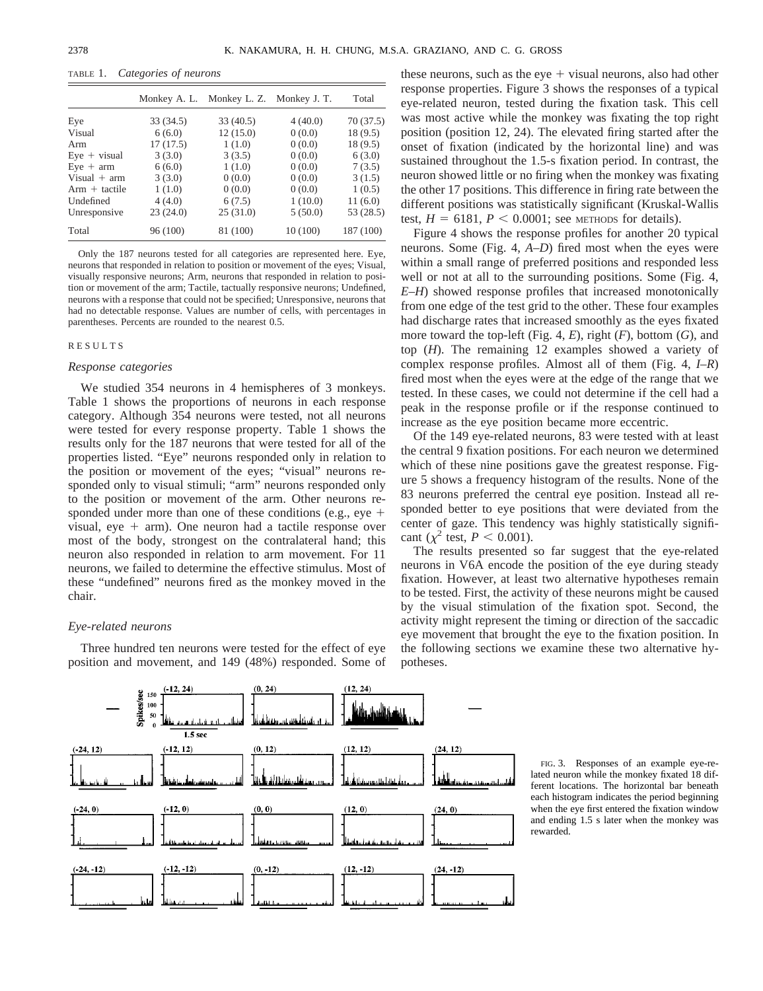TABLE 1. *Categories of neurons*

|                 |           | Monkey A. L. Monkey L. Z. Monkey J. T. |          | Total     |
|-----------------|-----------|----------------------------------------|----------|-----------|
| Eye             | 33 (34.5) | 33(40.5)                               | 4(40.0)  | 70(37.5)  |
| Visual          | 6(6.0)    | 12(15.0)                               | 0(0.0)   | 18(9.5)   |
| Arm             | 17(17.5)  | 1(1.0)                                 | 0(0.0)   | 18 (9.5)  |
| $Eye + visual$  | 3(3.0)    | 3(3.5)                                 | 0(0.0)   | 6(3.0)    |
| $Eye + arm$     | 6(6.0)    | 1(1.0)                                 | 0(0.0)   | 7(3.5)    |
| Visual $+$ arm  | 3(3.0)    | 0(0.0)                                 | 0(0.0)   | 3(1.5)    |
| $Arm + tactile$ | 1(1.0)    | 0(0.0)                                 | 0(0.0)   | 1(0.5)    |
| Undefined       | 4(4.0)    | 6(7.5)                                 | 1(10.0)  | 11(6.0)   |
| Unresponsive    | 23(24.0)  | 25(31.0)                               | 5(50.0)  | 53 (28.5) |
| Total           | 96 (100)  | 81 (100)                               | 10 (100) | 187 (100) |

Only the 187 neurons tested for all categories are represented here. Eye, neurons that responded in relation to position or movement of the eyes; Visual, visually responsive neurons; Arm, neurons that responded in relation to position or movement of the arm; Tactile, tactually responsive neurons; Undefined, neurons with a response that could not be specified; Unresponsive, neurons that had no detectable response. Values are number of cells, with percentages in parentheses. Percents are rounded to the nearest 0.5.

# RESULTS

## *Response categories*

We studied 354 neurons in 4 hemispheres of 3 monkeys. Table 1 shows the proportions of neurons in each response category. Although 354 neurons were tested, not all neurons were tested for every response property. Table 1 shows the results only for the 187 neurons that were tested for all of the properties listed. "Eye" neurons responded only in relation to the position or movement of the eyes; "visual" neurons responded only to visual stimuli; "arm" neurons responded only to the position or movement of the arm. Other neurons responded under more than one of these conditions (e.g., eye  $+$ visual, eye  $+$  arm). One neuron had a tactile response over most of the body, strongest on the contralateral hand; this neuron also responded in relation to arm movement. For 11 neurons, we failed to determine the effective stimulus. Most of these "undefined" neurons fired as the monkey moved in the chair.

#### *Eye-related neurons*

Three hundred ten neurons were tested for the effect of eye position and movement, and 149 (48%) responded. Some of these neurons, such as the eye  $+$  visual neurons, also had other response properties. Figure 3 shows the responses of a typical eye-related neuron, tested during the fixation task. This cell was most active while the monkey was fixating the top right position (position 12, 24). The elevated firing started after the onset of fixation (indicated by the horizontal line) and was sustained throughout the 1.5-s fixation period. In contrast, the neuron showed little or no firing when the monkey was fixating the other 17 positions. This difference in firing rate between the different positions was statistically significant (Kruskal-Wallis test,  $H = 6181$ ,  $P < 0.0001$ ; see METHODS for details).

Figure 4 shows the response profiles for another 20 typical neurons. Some (Fig. 4, *A*–*D*) fired most when the eyes were within a small range of preferred positions and responded less well or not at all to the surrounding positions. Some (Fig. 4, *E*–*H*) showed response profiles that increased monotonically from one edge of the test grid to the other. These four examples had discharge rates that increased smoothly as the eyes fixated more toward the top-left (Fig. 4, *E*), right (*F*), bottom (*G*), and top (*H*). The remaining 12 examples showed a variety of complex response profiles. Almost all of them (Fig. 4, *I*–*R*) fired most when the eyes were at the edge of the range that we tested. In these cases, we could not determine if the cell had a peak in the response profile or if the response continued to increase as the eye position became more eccentric.

Of the 149 eye-related neurons, 83 were tested with at least the central 9 fixation positions. For each neuron we determined which of these nine positions gave the greatest response. Figure 5 shows a frequency histogram of the results. None of the 83 neurons preferred the central eye position. Instead all responded better to eye positions that were deviated from the center of gaze. This tendency was highly statistically significant ( $\chi^2$  test, *P* < 0.001).

The results presented so far suggest that the eye-related neurons in V6A encode the position of the eye during steady fixation. However, at least two alternative hypotheses remain to be tested. First, the activity of these neurons might be caused by the visual stimulation of the fixation spot. Second, the activity might represent the timing or direction of the saccadic eye movement that brought the eye to the fixation position. In the following sections we examine these two alternative hypotheses.



FIG. 3. Responses of an example eye-related neuron while the monkey fixated 18 different locations. The horizontal bar beneath each histogram indicates the period beginning when the eye first entered the fixation window and ending 1.5 s later when the monkey was rewarded.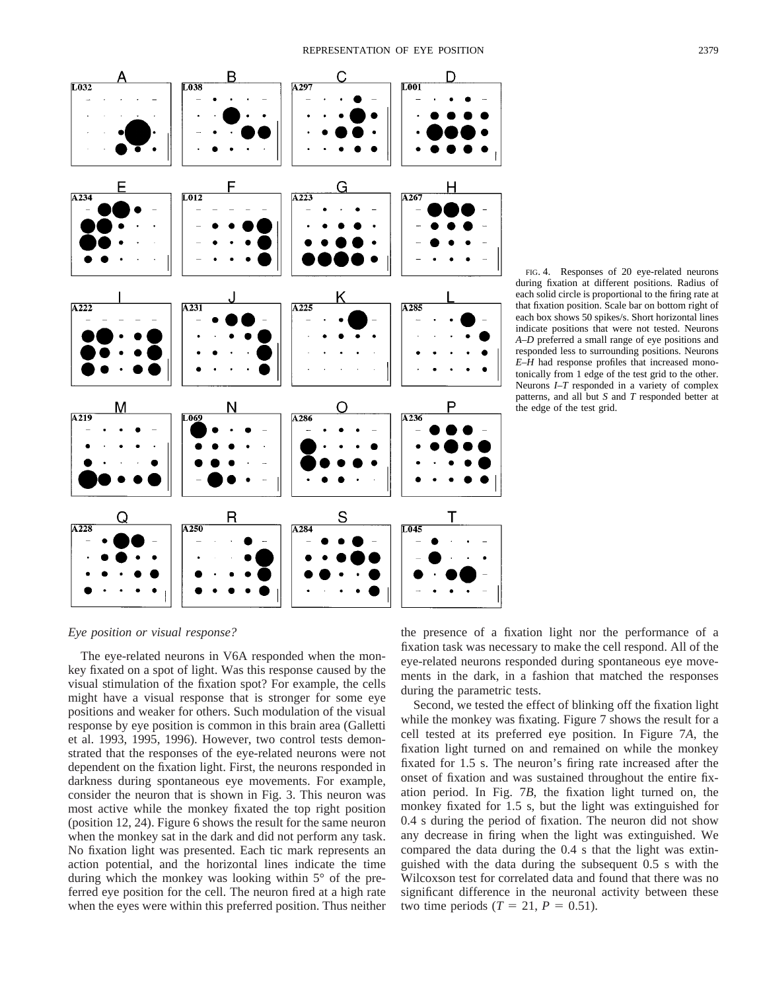

FIG. 4. Responses of 20 eye-related neurons during fixation at different positions. Radius of each solid circle is proportional to the firing rate at that fixation position. Scale bar on bottom right of each box shows 50 spikes/s. Short horizontal lines indicate positions that were not tested. Neurons *A*–*D* preferred a small range of eye positions and responded less to surrounding positions. Neurons *E*–*H* had response profiles that increased monotonically from 1 edge of the test grid to the other. Neurons *I*–*T* responded in a variety of complex patterns, and all but *S* and *T* responded better at the edge of the test grid.

*Eye position or visual response?*

The eye-related neurons in V6A responded when the monkey fixated on a spot of light. Was this response caused by the visual stimulation of the fixation spot? For example, the cells might have a visual response that is stronger for some eye positions and weaker for others. Such modulation of the visual response by eye position is common in this brain area (Galletti et al. 1993, 1995, 1996). However, two control tests demonstrated that the responses of the eye-related neurons were not dependent on the fixation light. First, the neurons responded in darkness during spontaneous eye movements. For example, consider the neuron that is shown in Fig. 3. This neuron was most active while the monkey fixated the top right position (position 12, 24). Figure 6 shows the result for the same neuron when the monkey sat in the dark and did not perform any task. No fixation light was presented. Each tic mark represents an action potential, and the horizontal lines indicate the time during which the monkey was looking within 5° of the preferred eye position for the cell. The neuron fired at a high rate when the eyes were within this preferred position. Thus neither

the presence of a fixation light nor the performance of a fixation task was necessary to make the cell respond. All of the eye-related neurons responded during spontaneous eye movements in the dark, in a fashion that matched the responses during the parametric tests.

Second, we tested the effect of blinking off the fixation light while the monkey was fixating. Figure 7 shows the result for a cell tested at its preferred eye position. In Figure 7*A*, the fixation light turned on and remained on while the monkey fixated for 1.5 s. The neuron's firing rate increased after the onset of fixation and was sustained throughout the entire fixation period. In Fig. 7*B*, the fixation light turned on, the monkey fixated for 1.5 s, but the light was extinguished for 0.4 s during the period of fixation. The neuron did not show any decrease in firing when the light was extinguished. We compared the data during the 0.4 s that the light was extinguished with the data during the subsequent 0.5 s with the Wilcoxson test for correlated data and found that there was no significant difference in the neuronal activity between these two time periods ( $T = 21$ ,  $P = 0.51$ ).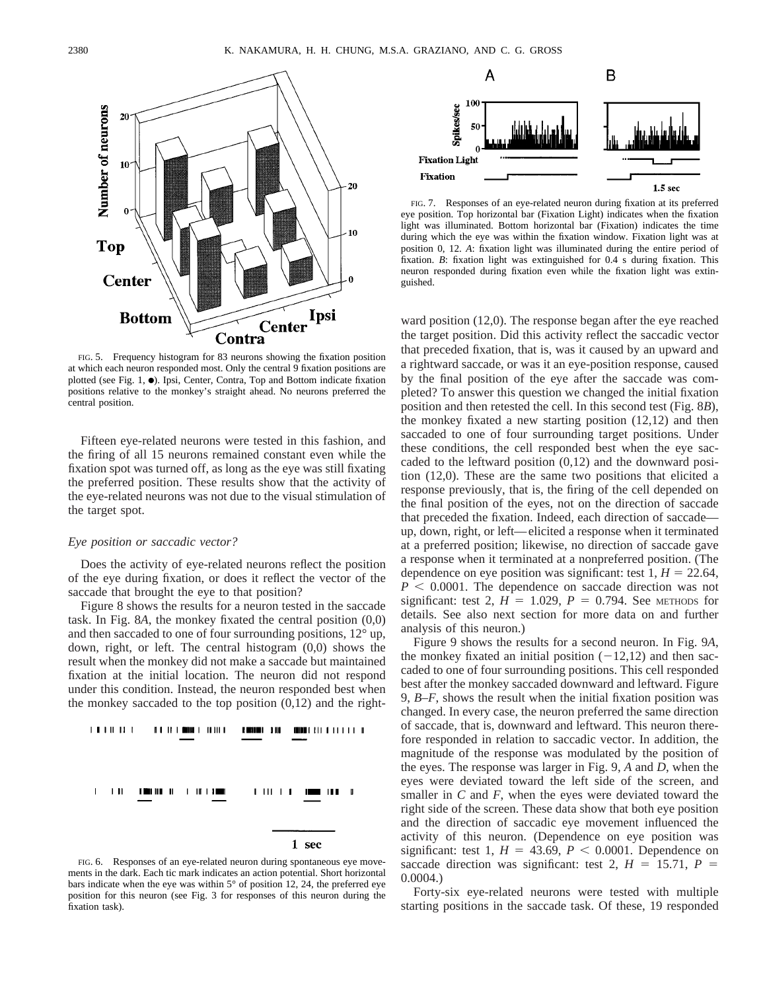

FIG. 5. Frequency histogram for 83 neurons showing the fixation position at which each neuron responded most. Only the central 9 fixation positions are plotted (see Fig. 1,  $\bullet$ ). Ipsi, Center, Contra, Top and Bottom indicate fixation positions relative to the monkey's straight ahead. No neurons preferred the central position.

Fifteen eye-related neurons were tested in this fashion, and the firing of all 15 neurons remained constant even while the fixation spot was turned off, as long as the eye was still fixating the preferred position. These results show that the activity of the eye-related neurons was not due to the visual stimulation of the target spot.

#### *Eye position or saccadic vector?*

Does the activity of eye-related neurons reflect the position of the eye during fixation, or does it reflect the vector of the saccade that brought the eye to that position?

Figure 8 shows the results for a neuron tested in the saccade task. In Fig. 8*A*, the monkey fixated the central position (0,0) and then saccaded to one of four surrounding positions, 12° up, down, right, or left. The central histogram (0,0) shows the result when the monkey did not make a saccade but maintained fixation at the initial location. The neuron did not respond under this condition. Instead, the neuron responded best when the monkey saccaded to the top position  $(0,12)$  and the right-



FIG. 6. Responses of an eye-related neuron during spontaneous eye movements in the dark. Each tic mark indicates an action potential. Short horizontal bars indicate when the eye was within 5° of position 12, 24, the preferred eye position for this neuron (see Fig. 3 for responses of this neuron during the fixation task).



FIG. 7. Responses of an eye-related neuron during fixation at its preferred eye position. Top horizontal bar (Fixation Light) indicates when the fixation light was illuminated. Bottom horizontal bar (Fixation) indicates the time during which the eye was within the fixation window. Fixation light was at position 0, 12. *A*: fixation light was illuminated during the entire period of fixation. *B*: fixation light was extinguished for 0.4 s during fixation. This neuron responded during fixation even while the fixation light was extinguished.

ward position (12,0). The response began after the eye reached the target position. Did this activity reflect the saccadic vector that preceded fixation, that is, was it caused by an upward and a rightward saccade, or was it an eye-position response, caused by the final position of the eye after the saccade was completed? To answer this question we changed the initial fixation position and then retested the cell. In this second test (Fig. 8*B*), the monkey fixated a new starting position (12,12) and then saccaded to one of four surrounding target positions. Under these conditions, the cell responded best when the eye saccaded to the leftward position  $(0,12)$  and the downward position (12,0). These are the same two positions that elicited a response previously, that is, the firing of the cell depended on the final position of the eyes, not on the direction of saccade that preceded the fixation. Indeed, each direction of saccade up, down, right, or left—elicited a response when it terminated at a preferred position; likewise, no direction of saccade gave a response when it terminated at a nonpreferred position. (The dependence on eye position was significant: test  $1, H = 22.64$ ,  $P < 0.0001$ . The dependence on saccade direction was not significant: test 2,  $H = 1.029$ ,  $P = 0.794$ . See METHODS for details. See also next section for more data on and further analysis of this neuron.)

Figure 9 shows the results for a second neuron. In Fig. 9*A*, the monkey fixated an initial position  $(-12,12)$  and then saccaded to one of four surrounding positions. This cell responded best after the monkey saccaded downward and leftward. Figure 9, *B*–*F*, shows the result when the initial fixation position was changed. In every case, the neuron preferred the same direction of saccade, that is, downward and leftward. This neuron therefore responded in relation to saccadic vector. In addition, the magnitude of the response was modulated by the position of the eyes. The response was larger in Fig. 9, *A* and *D*, when the eyes were deviated toward the left side of the screen, and smaller in *C* and *F*, when the eyes were deviated toward the right side of the screen. These data show that both eye position and the direction of saccadic eye movement influenced the activity of this neuron. (Dependence on eye position was significant: test 1,  $H = 43.69, P < 0.0001$ . Dependence on saccade direction was significant: test 2,  $H = 15.71$ ,  $P =$ 0.0004.)

Forty-six eye-related neurons were tested with multiple starting positions in the saccade task. Of these, 19 responded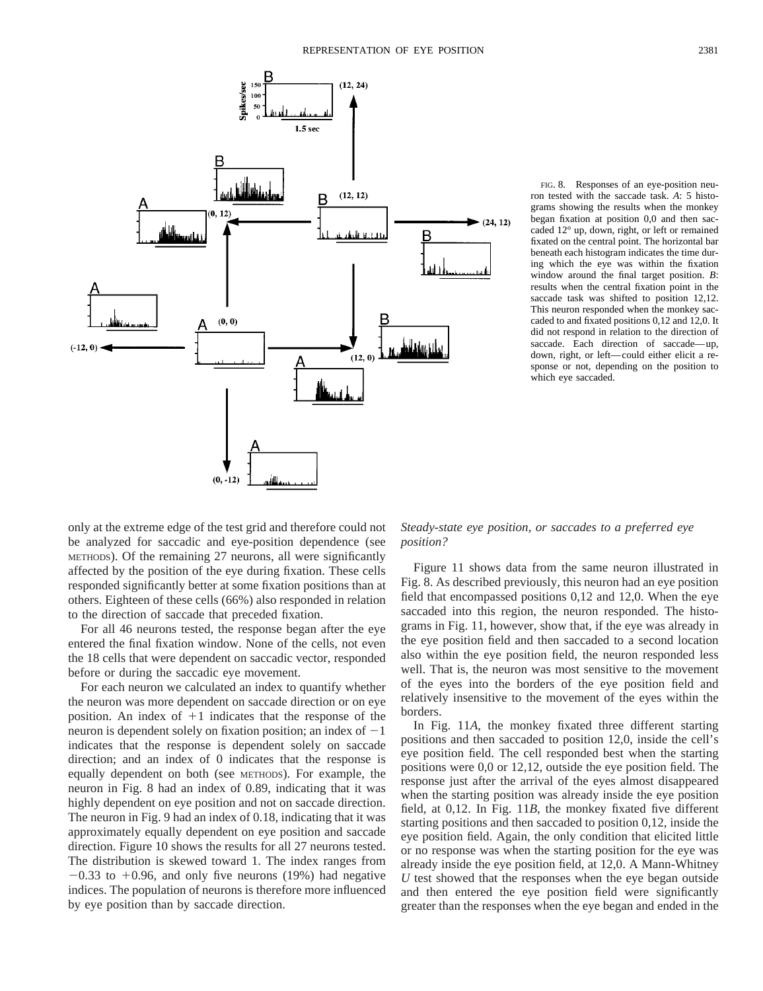

FIG. 8. Responses of an eye-position neuron tested with the saccade task. *A*: 5 histograms showing the results when the monkey began fixation at position 0,0 and then saccaded 12° up, down, right, or left or remained fixated on the central point. The horizontal bar beneath each histogram indicates the time during which the eye was within the fixation window around the final target position. *B*: results when the central fixation point in the saccade task was shifted to position 12,12. This neuron responded when the monkey saccaded to and fixated positions 0,12 and 12,0. It did not respond in relation to the direction of saccade. Each direction of saccade—up, down, right, or left—could either elicit a response or not, depending on the position to which eye saccaded.

only at the extreme edge of the test grid and therefore could not be analyzed for saccadic and eye-position dependence (see METHODS). Of the remaining 27 neurons, all were significantly affected by the position of the eye during fixation. These cells responded significantly better at some fixation positions than at others. Eighteen of these cells (66%) also responded in relation to the direction of saccade that preceded fixation.

For all 46 neurons tested, the response began after the eye entered the final fixation window. None of the cells, not even the 18 cells that were dependent on saccadic vector, responded before or during the saccadic eye movement.

For each neuron we calculated an index to quantify whether the neuron was more dependent on saccade direction or on eye position. An index of  $+1$  indicates that the response of the neuron is dependent solely on fixation position; an index of  $-1$ indicates that the response is dependent solely on saccade direction; and an index of 0 indicates that the response is equally dependent on both (see METHODS). For example, the neuron in Fig. 8 had an index of 0.89, indicating that it was highly dependent on eye position and not on saccade direction. The neuron in Fig. 9 had an index of 0.18, indicating that it was approximately equally dependent on eye position and saccade direction. Figure 10 shows the results for all 27 neurons tested. The distribution is skewed toward 1. The index ranges from  $-0.33$  to  $+0.96$ , and only five neurons (19%) had negative indices. The population of neurons is therefore more influenced by eye position than by saccade direction.

*Steady-state eye position, or saccades to a preferred eye position?*

Figure 11 shows data from the same neuron illustrated in Fig. 8. As described previously, this neuron had an eye position field that encompassed positions 0,12 and 12,0. When the eye saccaded into this region, the neuron responded. The histograms in Fig. 11, however, show that, if the eye was already in the eye position field and then saccaded to a second location also within the eye position field, the neuron responded less well. That is, the neuron was most sensitive to the movement of the eyes into the borders of the eye position field and relatively insensitive to the movement of the eyes within the borders.

In Fig. 11*A*, the monkey fixated three different starting positions and then saccaded to position 12,0, inside the cell's eye position field. The cell responded best when the starting positions were 0,0 or 12,12, outside the eye position field. The response just after the arrival of the eyes almost disappeared when the starting position was already inside the eye position field, at 0,12. In Fig. 11*B*, the monkey fixated five different starting positions and then saccaded to position 0,12, inside the eye position field. Again, the only condition that elicited little or no response was when the starting position for the eye was already inside the eye position field, at 12,0. A Mann-Whitney *U* test showed that the responses when the eye began outside and then entered the eye position field were significantly greater than the responses when the eye began and ended in the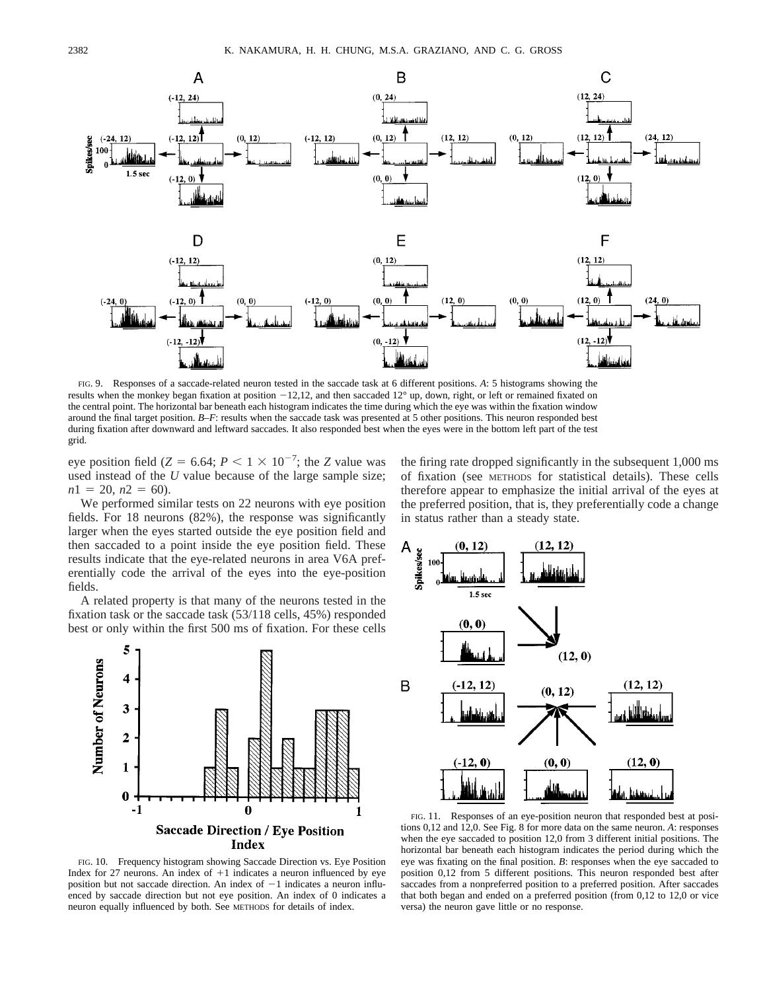

FIG. 9. Responses of a saccade-related neuron tested in the saccade task at 6 different positions. *A*: 5 histograms showing the results when the monkey began fixation at position  $-12,12$ , and then saccaded  $12^{\circ}$  up, down, right, or left or remained fixated on the central point. The horizontal bar beneath each histogram indicates the time during which the eye was within the fixation window around the final target position. *B*–*F*: results when the saccade task was presented at 5 other positions. This neuron responded best during fixation after downward and leftward saccades. It also responded best when the eyes were in the bottom left part of the test grid.

eye position field ( $Z = 6.64$ ;  $P < 1 \times 10^{-7}$ ; the *Z* value was used instead of the *U* value because of the large sample size;  $n1 = 20$ ,  $n2 = 60$ ).

We performed similar tests on 22 neurons with eye position fields. For 18 neurons (82%), the response was significantly larger when the eyes started outside the eye position field and then saccaded to a point inside the eye position field. These results indicate that the eye-related neurons in area V6A preferentially code the arrival of the eyes into the eye-position fields.

A related property is that many of the neurons tested in the fixation task or the saccade task (53/118 cells, 45%) responded best or only within the first 500 ms of fixation. For these cells



FIG. 10. Frequency histogram showing Saccade Direction vs. Eye Position Index for 27 neurons. An index of  $+1$  indicates a neuron influenced by eye position but not saccade direction. An index of  $-1$  indicates a neuron influenced by saccade direction but not eye position. An index of 0 indicates a neuron equally influenced by both. See METHODS for details of index.

the firing rate dropped significantly in the subsequent 1,000 ms of fixation (see METHODS for statistical details). These cells therefore appear to emphasize the initial arrival of the eyes at the preferred position, that is, they preferentially code a change in status rather than a steady state.



FIG. 11. Responses of an eye-position neuron that responded best at positions 0,12 and 12,0. See Fig. 8 for more data on the same neuron. *A*: responses when the eye saccaded to position 12,0 from 3 different initial positions. The horizontal bar beneath each histogram indicates the period during which the eye was fixating on the final position. *B*: responses when the eye saccaded to position 0,12 from 5 different positions. This neuron responded best after saccades from a nonpreferred position to a preferred position. After saccades that both began and ended on a preferred position (from 0,12 to 12,0 or vice versa) the neuron gave little or no response.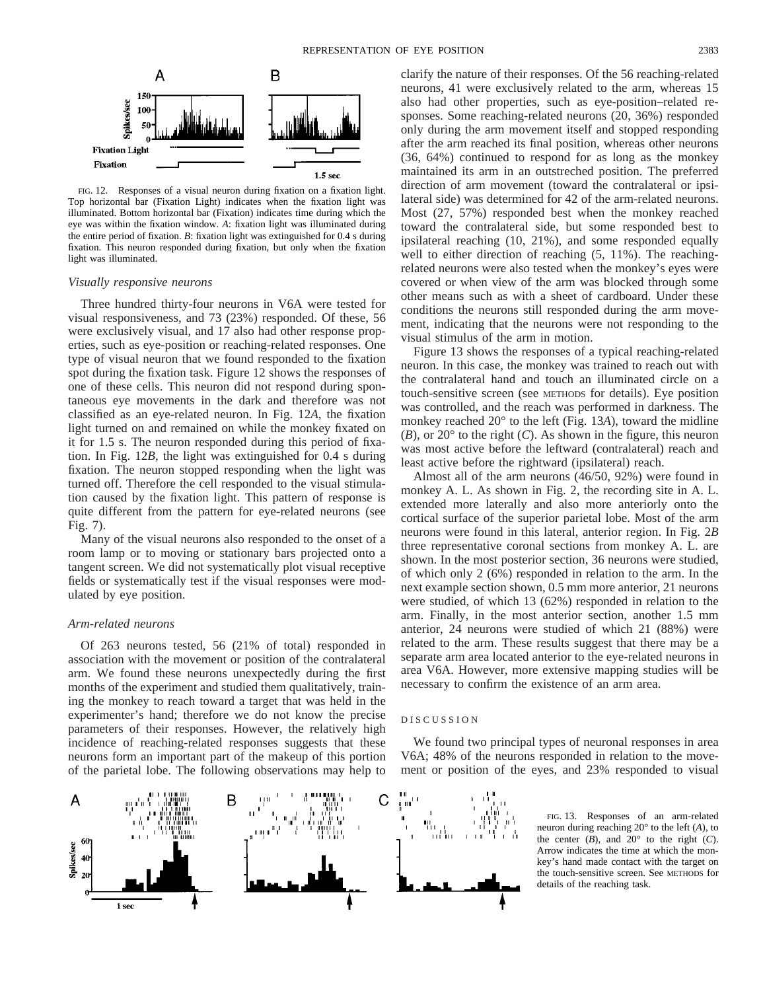

FIG. 12. Responses of a visual neuron during fixation on a fixation light. Top horizontal bar (Fixation Light) indicates when the fixation light was illuminated. Bottom horizontal bar (Fixation) indicates time during which the eye was within the fixation window. *A*: fixation light was illuminated during the entire period of fixation. *B*: fixation light was extinguished for 0.4 s during fixation. This neuron responded during fixation, but only when the fixation light was illuminated.

#### *Visually responsive neurons*

Three hundred thirty-four neurons in V6A were tested for visual responsiveness, and 73 (23%) responded. Of these, 56 were exclusively visual, and 17 also had other response properties, such as eye-position or reaching-related responses. One type of visual neuron that we found responded to the fixation spot during the fixation task. Figure 12 shows the responses of one of these cells. This neuron did not respond during spontaneous eye movements in the dark and therefore was not classified as an eye-related neuron. In Fig. 12*A*, the fixation light turned on and remained on while the monkey fixated on it for 1.5 s. The neuron responded during this period of fixation. In Fig. 12*B*, the light was extinguished for 0.4 s during fixation. The neuron stopped responding when the light was turned off. Therefore the cell responded to the visual stimulation caused by the fixation light. This pattern of response is quite different from the pattern for eye-related neurons (see Fig. 7).

Many of the visual neurons also responded to the onset of a room lamp or to moving or stationary bars projected onto a tangent screen. We did not systematically plot visual receptive fields or systematically test if the visual responses were modulated by eye position.

# *Arm-related neurons*

Of 263 neurons tested, 56 (21% of total) responded in association with the movement or position of the contralateral arm. We found these neurons unexpectedly during the first months of the experiment and studied them qualitatively, training the monkey to reach toward a target that was held in the experimenter's hand; therefore we do not know the precise parameters of their responses. However, the relatively high incidence of reaching-related responses suggests that these neurons form an important part of the makeup of this portion of the parietal lobe. The following observations may help to

clarify the nature of their responses. Of the 56 reaching-related neurons, 41 were exclusively related to the arm, whereas 15 also had other properties, such as eye-position–related responses. Some reaching-related neurons (20, 36%) responded only during the arm movement itself and stopped responding after the arm reached its final position, whereas other neurons (36, 64%) continued to respond for as long as the monkey maintained its arm in an outstreched position. The preferred direction of arm movement (toward the contralateral or ipsilateral side) was determined for 42 of the arm-related neurons. Most (27, 57%) responded best when the monkey reached toward the contralateral side, but some responded best to ipsilateral reaching (10, 21%), and some responded equally well to either direction of reaching (5, 11%). The reachingrelated neurons were also tested when the monkey's eyes were covered or when view of the arm was blocked through some other means such as with a sheet of cardboard. Under these conditions the neurons still responded during the arm movement, indicating that the neurons were not responding to the visual stimulus of the arm in motion.

Figure 13 shows the responses of a typical reaching-related neuron. In this case, the monkey was trained to reach out with the contralateral hand and touch an illuminated circle on a touch-sensitive screen (see METHODS for details). Eye position was controlled, and the reach was performed in darkness. The monkey reached 20° to the left (Fig. 13*A*), toward the midline (*B*), or 20° to the right (*C*). As shown in the figure, this neuron was most active before the leftward (contralateral) reach and least active before the rightward (ipsilateral) reach.

Almost all of the arm neurons (46/50, 92%) were found in monkey A. L. As shown in Fig. 2, the recording site in A. L. extended more laterally and also more anteriorly onto the cortical surface of the superior parietal lobe. Most of the arm neurons were found in this lateral, anterior region. In Fig. 2*B* three representative coronal sections from monkey A. L. are shown. In the most posterior section, 36 neurons were studied, of which only 2 (6%) responded in relation to the arm. In the next example section shown, 0.5 mm more anterior, 21 neurons were studied, of which 13 (62%) responded in relation to the arm. Finally, in the most anterior section, another 1.5 mm anterior, 24 neurons were studied of which 21 (88%) were related to the arm. These results suggest that there may be a separate arm area located anterior to the eye-related neurons in area V6A. However, more extensive mapping studies will be necessary to confirm the existence of an arm area.

#### DISCUSSION

We found two principal types of neuronal responses in area V6A; 48% of the neurons responded in relation to the movement or position of the eyes, and 23% responded to visual



FIG. 13. Responses of an arm-related neuron during reaching 20° to the left (*A*), to the center  $(B)$ , and  $20^{\circ}$  to the right  $(C)$ . Arrow indicates the time at which the monkey's hand made contact with the target on the touch-sensitive screen. See METHODS for details of the reaching task.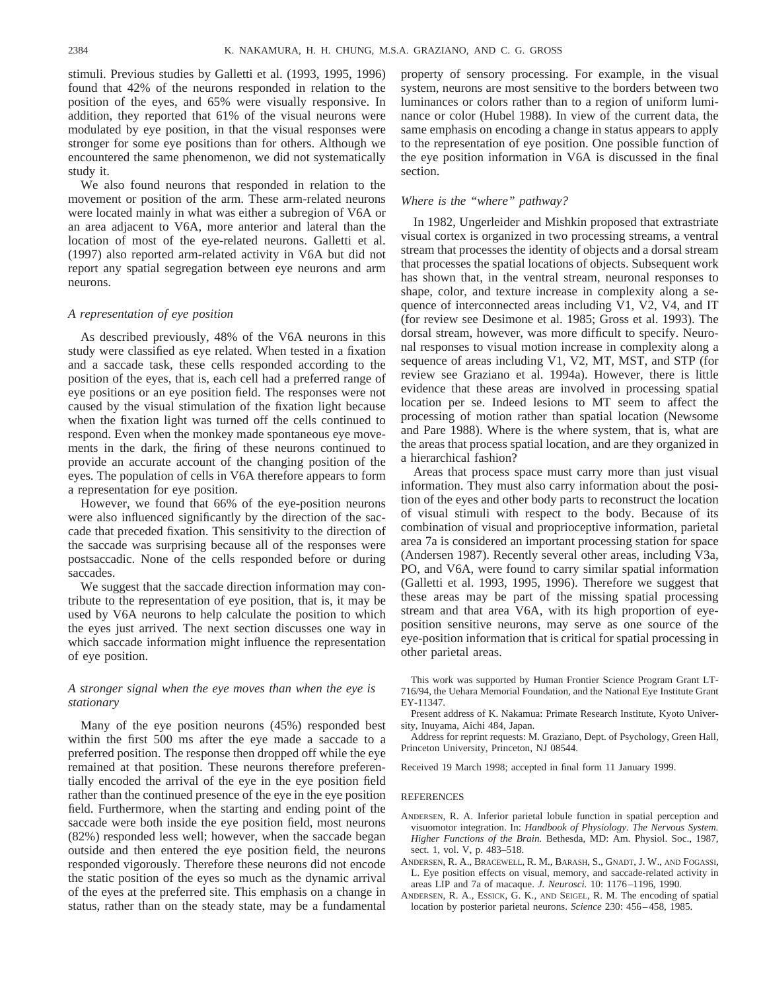stimuli. Previous studies by Galletti et al. (1993, 1995, 1996) found that 42% of the neurons responded in relation to the position of the eyes, and 65% were visually responsive. In addition, they reported that 61% of the visual neurons were modulated by eye position, in that the visual responses were stronger for some eye positions than for others. Although we encountered the same phenomenon, we did not systematically study it.

We also found neurons that responded in relation to the movement or position of the arm. These arm-related neurons were located mainly in what was either a subregion of V6A or an area adjacent to V6A, more anterior and lateral than the location of most of the eye-related neurons. Galletti et al. (1997) also reported arm-related activity in V6A but did not report any spatial segregation between eye neurons and arm neurons.

# *A representation of eye position*

As described previously, 48% of the V6A neurons in this study were classified as eye related. When tested in a fixation and a saccade task, these cells responded according to the position of the eyes, that is, each cell had a preferred range of eye positions or an eye position field. The responses were not caused by the visual stimulation of the fixation light because when the fixation light was turned off the cells continued to respond. Even when the monkey made spontaneous eye movements in the dark, the firing of these neurons continued to provide an accurate account of the changing position of the eyes. The population of cells in V6A therefore appears to form a representation for eye position.

However, we found that 66% of the eye-position neurons were also influenced significantly by the direction of the saccade that preceded fixation. This sensitivity to the direction of the saccade was surprising because all of the responses were postsaccadic. None of the cells responded before or during saccades.

We suggest that the saccade direction information may contribute to the representation of eye position, that is, it may be used by V6A neurons to help calculate the position to which the eyes just arrived. The next section discusses one way in which saccade information might influence the representation of eye position.

# *A stronger signal when the eye moves than when the eye is stationary*

Many of the eye position neurons (45%) responded best within the first 500 ms after the eye made a saccade to a preferred position. The response then dropped off while the eye remained at that position. These neurons therefore preferentially encoded the arrival of the eye in the eye position field rather than the continued presence of the eye in the eye position field. Furthermore, when the starting and ending point of the saccade were both inside the eye position field, most neurons (82%) responded less well; however, when the saccade began outside and then entered the eye position field, the neurons responded vigorously. Therefore these neurons did not encode the static position of the eyes so much as the dynamic arrival of the eyes at the preferred site. This emphasis on a change in status, rather than on the steady state, may be a fundamental

property of sensory processing. For example, in the visual system, neurons are most sensitive to the borders between two luminances or colors rather than to a region of uniform luminance or color (Hubel 1988). In view of the current data, the same emphasis on encoding a change in status appears to apply to the representation of eye position. One possible function of the eye position information in V6A is discussed in the final section.

# *Where is the "where" pathway?*

In 1982, Ungerleider and Mishkin proposed that extrastriate visual cortex is organized in two processing streams, a ventral stream that processes the identity of objects and a dorsal stream that processes the spatial locations of objects. Subsequent work has shown that, in the ventral stream, neuronal responses to shape, color, and texture increase in complexity along a sequence of interconnected areas including V1, V2, V4, and IT (for review see Desimone et al. 1985; Gross et al. 1993). The dorsal stream, however, was more difficult to specify. Neuronal responses to visual motion increase in complexity along a sequence of areas including V1, V2, MT, MST, and STP (for review see Graziano et al. 1994a). However, there is little evidence that these areas are involved in processing spatial location per se. Indeed lesions to MT seem to affect the processing of motion rather than spatial location (Newsome and Pare 1988). Where is the where system, that is, what are the areas that process spatial location, and are they organized in a hierarchical fashion?

Areas that process space must carry more than just visual information. They must also carry information about the position of the eyes and other body parts to reconstruct the location of visual stimuli with respect to the body. Because of its combination of visual and proprioceptive information, parietal area 7a is considered an important processing station for space (Andersen 1987). Recently several other areas, including V3a, PO, and V6A, were found to carry similar spatial information (Galletti et al. 1993, 1995, 1996). Therefore we suggest that these areas may be part of the missing spatial processing stream and that area V6A, with its high proportion of eyeposition sensitive neurons, may serve as one source of the eye-position information that is critical for spatial processing in other parietal areas.

This work was supported by Human Frontier Science Program Grant LT-716/94, the Uehara Memorial Foundation, and the National Eye Institute Grant EY-11347.

Present address of K. Nakamua: Primate Research Institute, Kyoto University, Inuyama, Aichi 484, Japan.

Address for reprint requests: M. Graziano, Dept. of Psychology, Green Hall, Princeton University, Princeton, NJ 08544.

Received 19 March 1998; accepted in final form 11 January 1999.

#### REFERENCES

- ANDERSEN, R. A. Inferior parietal lobule function in spatial perception and visuomotor integration. In: *Handbook of Physiology. The Nervous System. Higher Functions of the Brain.* Bethesda, MD: Am. Physiol. Soc., 1987, sect. 1, vol. V, p. 483–518.
- ANDERSEN, R. A., BRACEWELL, R. M., BARASH, S., GNADT, J. W., AND FOGASSI, L. Eye position effects on visual, memory, and saccade-related activity in areas LIP and 7a of macaque. *J. Neurosci.* 10: 1176–1196, 1990.
- ANDERSEN, R. A., ESSICK, G. K., AND SEIGEL, R. M. The encoding of spatial location by posterior parietal neurons. *Science* 230: 456–458, 1985.